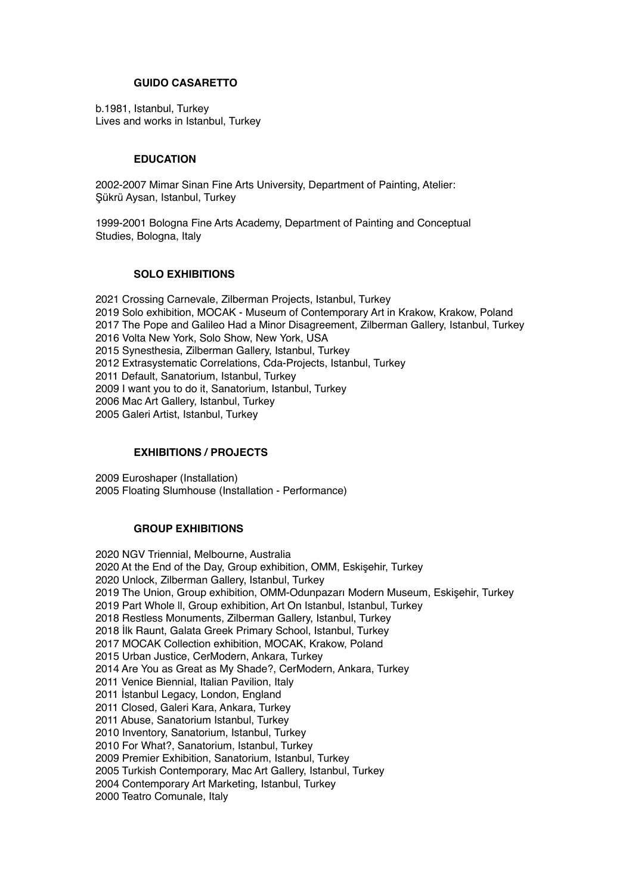# **GUIDO CASARETTO**

b.1981, Istanbul, Turkey Lives and works in Istanbul, Turkey

# **EDUCATION**

2002-2007 Mimar Sinan Fine Arts University, Department of Painting, Atelier: Şükrü Aysan, Istanbul, Turkey

1999-2001 Bologna Fine Arts Academy, Department of Painting and Conceptual Studies, Bologna, Italy

# **SOLO EXHIBITIONS**

2021 Crossing Carnevale, Zilberman Projects, Istanbul, Turkey 2019 Solo exhibition, MOCAK - Museum of Contemporary Art in Krakow, Krakow, Poland 2017 The Pope and Galileo Had a Minor Disagreement, Zilberman Gallery, Istanbul, Turkey 2016 Volta New York, Solo Show, New York, USA 2015 Synesthesia, Zilberman Gallery, Istanbul, Turkey 2012 Extrasystematic Correlations, Cda-Projects, Istanbul, Turkey 2011 Default, Sanatorium, Istanbul, Turkey 2009 I want you to do it, Sanatorium, Istanbul, Turkey 2006 Mac Art Gallery, Istanbul, Turkey 2005 Galeri Artist, Istanbul, Turkey

# **EXHIBITIONS / PROJECTS**

2009 Euroshaper (Installation) 2005 Floating Slumhouse (Installation - Performance)

## **GROUP EXHIBITIONS**

2020 NGV Triennial, Melbourne, Australia 2020 At the End of the Day, Group exhibition, OMM, Eskişehir, Turkey 2020 Unlock, Zilberman Gallery, Istanbul, Turkey 2019 The Union, Group exhibition, OMM-Odunpazarı Modern Museum, Eskişehir, Turkey 2019 Part Whole ll, Group exhibition, Art On Istanbul, Istanbul, Turkey 2018 Restless Monuments, Zilberman Gallery, Istanbul, Turkey 2018 İlk Raunt, Galata Greek Primary School, Istanbul, Turkey 2017 MOCAK Collection exhibition, MOCAK, Krakow, Poland 2015 Urban Justice, CerModern, Ankara, Turkey 2014 Are You as Great as My Shade?, CerModern, Ankara, Turkey 2011 Venice Biennial, Italian Pavilion, Italy 2011 İstanbul Legacy, London, England 2011 Closed, Galeri Kara, Ankara, Turkey 2011 Abuse, Sanatorium Istanbul, Turkey 2010 Inventory, Sanatorium, Istanbul, Turkey 2010 For What?, Sanatorium, Istanbul, Turkey 2009 Premier Exhibition, Sanatorium, Istanbul, Turkey 2005 Turkish Contemporary, Mac Art Gallery, Istanbul, Turkey 2004 Contemporary Art Marketing, Istanbul, Turkey 2000 Teatro Comunale, Italy